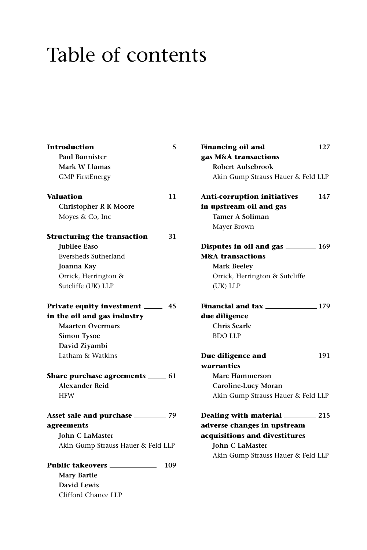## Table of contents

| Introduction<br>$\frac{1}{2}$ 5            |
|--------------------------------------------|
| <b>Paul Bannister</b>                      |
| <b>Mark W Llamas</b>                       |
| <b>GMP</b> FirstEnergy                     |
| Valuation ___<br>$\_\_1$ 11                |
| <b>Christopher R K Moore</b>               |
| Moyes & Co, Inc                            |
| <b>Structuring the transaction</b> 1 31    |
| Jubilee Easo                               |
| Eversheds Sutherland                       |
| Joanna Kay                                 |
| Orrick, Herrington &                       |
| Sutcliffe (UK) LLP                         |
| Private equity investment _____<br>- 45    |
| in the oil and gas industry                |
| <b>Maarten Overmars</b>                    |
| <b>Simon Tysoe</b>                         |
| David Ziyambi                              |
| Latham & Watkins                           |
| <b>Share purchase agreements</b> ______ 61 |
| <b>Alexander Reid</b>                      |
| <b>HFW</b>                                 |
| Asset sale and purchase ___________ 79     |
| agreements                                 |
| <b>John C LaMaster</b>                     |
| Akin Gump Strauss Hauer & Feld LLP         |
| <b>Public takeovers</b> _____<br>109       |
| <b>Mary Bartle</b>                         |
| David Lewis                                |
| Clifford Chance LLP                        |

**Financing oil and 127 gas M&A transactions Robert Aulsebrook** Akin Gump Strauss Hauer & Feld LLP **Anti-corruption initiatives 147 in upstream oil and gas Tamer A Soliman** Mayer Brown **Disputes in oil and gas** \_\_\_\_\_\_\_\_ 169 **M&A transactions Mark Beeley** Orrick, Herrington & Sutcliffe (UK) LLP **Financial and tax** 179 **due diligence Chris Searle** BDO LLP **Due diligence and 191 warranties Marc Hammerson Caroline-Lucy Moran** Akin Gump Strauss Hauer & Feld LLP **Dealing with material 215 adverse changes in upstream acquisitions and divestitures John C LaMaster** Akin Gump Strauss Hauer & Feld LLP